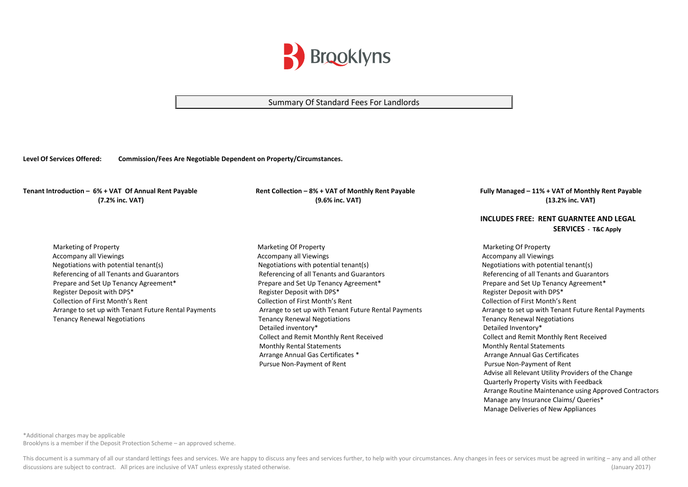

## Summary Of Standard Fees For Landlords

**Level Of Services Offered: Commission/Fees Are Negotiable Dependent on Property/Circumstances.**

Tenant Introduction - 6% + VAT Of Annual Rent Payable Rent Collection - 8% + VAT of Monthly Rent Payable Fully Managed - 11% + VAT of Monthly Rent Payable  **(7.2% inc. VAT) (9.6% inc. VAT) (13.2% inc. VAT)**

 Marketing of Property Marketing Of Property Marketing Of Property Accompany all Viewings and the Material Accompany all Viewings and the Material Accompany all Viewings and Accompany all Viewings and Accompany all Viewings and Accompany all Viewings and the Materia and Materia and Materi Negotiations with potential tenant(s) Negotiations with potential tenant(s) Negotiations with potential tenant(s) Referencing of all Tenants and Guarantors example and Tenants and Guarantors Referencing of all Tenants and Guarantors Referencing of all Tenants and Guarantors Referencing of all Tenants and Guarantors Referencing of all Prepare and Set Up Tenancy Agreement\* Prepare and Set Up Tenancy Agreement\* Prepare and Set Up Tenancy Agreement\* Register Deposit with DPS<sup>\*</sup> The Register Deposit with DPS<sup>\*</sup> Register Deposit with DPS<sup>\*</sup> Register Deposit with DPS<sup>\*</sup> Collection of First Month's Rent Collection of First Month's Rent Collection of First Month's Rent Arrange to set up with Tenant Future Rental Payments Arrange to set up with Tenant Future Rental Payments Arrange to set up with Tenant Future Rental Payments

 Tenancy Renewal Negotiations Tenancy Renewal Negotiations Tenancy Renewal Negotiations Detailed inventory\* Detailed Inventory\* Collect and Remit Monthly Rent Received Collect and Remit Monthly Rent Received Monthly Rental Statements Monthly Rental Statements Arrange Annual Gas Certificates \* Arrange Annual Gas Certificates \* Arrange Annual Gas Certificates Pursue Non-Payment of Rent Pursue Non-Payment of Rent Pursue Non-Payment of Rent

## **INCLUDES FREE: RENT GUARNTEE AND LEGAL SERVICES - T&C Apply**

 Advise all Relevant Utility Providers of the Change Quarterly Property Visits with Feedback Arrange Routine Maintenance using Approved Contractors Manage any Insurance Claims/ Queries\* Manage Deliveries of New Appliances

\*Additional charges may be applicable

Brooklyns is a member if the Deposit Protection Scheme – an approved scheme.

This document is a summary of all our standard lettings fees and services. We are happy to discuss any fees and services further, to help with your circumstances. Any changes in fees or services must be agreed in writing discussions are subject to contract. All prices are inclusive of VAT unless expressly stated otherwise. (January 2017)